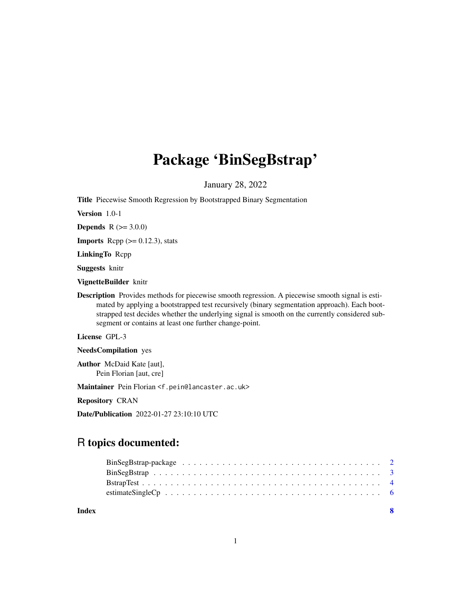## Package 'BinSegBstrap'

January 28, 2022

<span id="page-0-0"></span>Title Piecewise Smooth Regression by Bootstrapped Binary Segmentation

Version 1.0-1

**Depends** R  $(>= 3.0.0)$ 

**Imports** Rcpp  $(>= 0.12.3)$ , stats

LinkingTo Rcpp

Suggests knitr

VignetteBuilder knitr

Description Provides methods for piecewise smooth regression. A piecewise smooth signal is estimated by applying a bootstrapped test recursively (binary segmentation approach). Each bootstrapped test decides whether the underlying signal is smooth on the currently considered subsegment or contains at least one further change-point.

License GPL-3

NeedsCompilation yes

Author McDaid Kate [aut], Pein Florian [aut, cre]

Maintainer Pein Florian <f.pein@lancaster.ac.uk>

Repository CRAN

Date/Publication 2022-01-27 23:10:10 UTC

### R topics documented:

**Index** [8](#page-7-0) **8**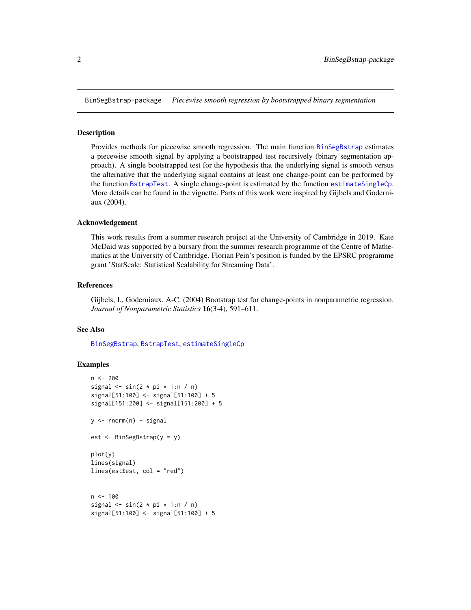<span id="page-1-0"></span>BinSegBstrap-package *Piecewise smooth regression by bootstrapped binary segmentation*

#### Description

Provides methods for piecewise smooth regression. The main function [BinSegBstrap](#page-2-1) estimates a piecewise smooth signal by applying a bootstrapped test recursively (binary segmentation approach). A single bootstrapped test for the hypothesis that the underlying signal is smooth versus the alternative that the underlying signal contains at least one change-point can be performed by the function [BstrapTest](#page-3-1). A single change-point is estimated by the function [estimateSingleCp](#page-5-1). More details can be found in the vignette. Parts of this work were inspired by Gijbels and Goderniaux (2004).

#### Acknowledgement

This work results from a summer research project at the University of Cambridge in 2019. Kate McDaid was supported by a bursary from the summer research programme of the Centre of Mathematics at the University of Cambridge. Florian Pein's position is funded by the EPSRC programme grant 'StatScale: Statistical Scalability for Streaming Data'.

#### References

Gijbels, I., Goderniaux, A-C. (2004) Bootstrap test for change-points in nonparametric regression. *Journal of Nonparametric Statistics* 16(3-4), 591–611.

#### See Also

[BinSegBstrap](#page-2-1), [BstrapTest](#page-3-1), [estimateSingleCp](#page-5-1)

#### Examples

```
n < -200signal \le sin(2 \star pi \star 1:n / n)
signal[51:100] <- signal[51:100] + 5
signal[151:200] <- signal[151:200] + 5
y \le - rnorm(n) + signal
est <- BinSegBstrap(y = y)
plot(y)
lines(signal)
lines(est$est, col = "red")
n < - 100signal \le sin(2 \neq pi \neq 1:n / n)
signal[51:100] <- signal[51:100] + 5
```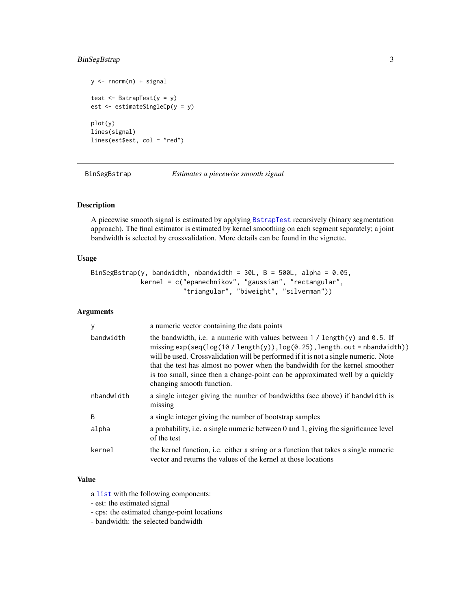#### <span id="page-2-0"></span>BinSegBstrap 3

```
y \leftarrow \text{norm}(n) + \text{signal}test <- BstrapTest(y = y)
est <- estimateSingleCp(y = y)
plot(y)
lines(signal)
lines(est$est, col = "red")
```
<span id="page-2-1"></span>BinSegBstrap *Estimates a piecewise smooth signal*

#### Description

A piecewise smooth signal is estimated by applying [BstrapTest](#page-3-1) recursively (binary segmentation approach). The final estimator is estimated by kernel smoothing on each segment separately; a joint bandwidth is selected by crossvalidation. More details can be found in the vignette.

#### Usage

```
BinSegBstrap(y, bandwidth, nbandwidth = 30L, B = 500L, alpha = 0.05,
             kernel = c("epanechnikov", "gaussian", "rectangular",
                        "triangular", "biweight", "silverman"))
```
#### Arguments

| у          | a numeric vector containing the data points                                                                                                                                                                                                                                                                                                                                                                                                       |
|------------|---------------------------------------------------------------------------------------------------------------------------------------------------------------------------------------------------------------------------------------------------------------------------------------------------------------------------------------------------------------------------------------------------------------------------------------------------|
| bandwidth  | the bandwidth, i.e. a numeric with values between $1 /$ length(y) and 0.5. If<br>$missing exp(seq(log(10 / length(y)), log(0.25), length.out = nbandwidth))$<br>will be used. Crossvalidation will be performed if it is not a single numeric. Note<br>that the test has almost no power when the bandwidth for the kernel smoother<br>is too small, since then a change-point can be approximated well by a quickly<br>changing smooth function. |
| nbandwidth | a single integer giving the number of bandwidths (see above) if bandwidth is<br>missing                                                                                                                                                                                                                                                                                                                                                           |
| B          | a single integer giving the number of bootstrap samples                                                                                                                                                                                                                                                                                                                                                                                           |
| alpha      | a probability, i.e. a single numeric between 0 and 1, giving the significance level<br>of the test                                                                                                                                                                                                                                                                                                                                                |
| kernel     | the kernel function, <i>i.e.</i> either a string or a function that takes a single numeric<br>vector and returns the values of the kernel at those locations                                                                                                                                                                                                                                                                                      |

#### Value

a [list](#page-0-0) with the following components:

- est: the estimated signal

- cps: the estimated change-point locations

- bandwidth: the selected bandwidth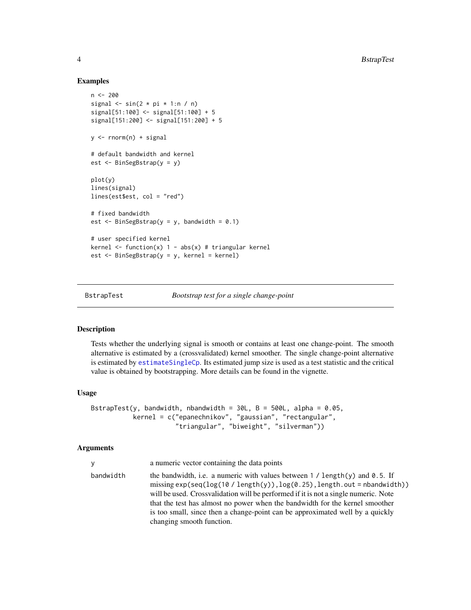#### Examples

```
n <- 200
signal \le sin(2 \neq pi \neq 1:n / n)
signal[51:100] <- signal[51:100] + 5
signal[151:200] <- signal[151:200] + 5
y \le - rnorm(n) + signal
# default bandwidth and kernel
est <- BinSegBstrap(y = y)
plot(y)
lines(signal)
lines(est$est, col = "red")
# fixed bandwidth
est \leq BinSegBstrap(y = y, bandwidth = 0.1)
# user specified kernel
kernel <- function(x) 1 - abs(x) # triangular kernel
est <- BinSegBstrap(y = y, kernel = kernel)
```
<span id="page-3-1"></span>

BstrapTest *Bootstrap test for a single change-point*

#### Description

Tests whether the underlying signal is smooth or contains at least one change-point. The smooth alternative is estimated by a (crossvalidated) kernel smoother. The single change-point alternative is estimated by [estimateSingleCp](#page-5-1). Its estimated jump size is used as a test statistic and the critical value is obtained by bootstrapping. More details can be found in the vignette.

#### Usage

```
BstrapTest(y, bandwidth, nbandwidth = 30L, B = 500L, alpha = 0.05,
           kernel = c("epanechnikov", "gaussian", "rectangular",
                      "triangular", "biweight", "silverman"))
```
#### Arguments

| y         | a numeric vector containing the data points                                                                                                                                                                                                                                                                                                                                                                                                       |
|-----------|---------------------------------------------------------------------------------------------------------------------------------------------------------------------------------------------------------------------------------------------------------------------------------------------------------------------------------------------------------------------------------------------------------------------------------------------------|
| bandwidth | the bandwidth, i.e. a numeric with values between $1 /$ length(y) and 0.5. If<br>$missing exp(seq(log(10 / length(y)), log(0.25), length.out = nbandwidth))$<br>will be used. Crossvalidation will be performed if it is not a single numeric. Note<br>that the test has almost no power when the bandwidth for the kernel smoother<br>is too small, since then a change-point can be approximated well by a quickly<br>changing smooth function. |

<span id="page-3-0"></span>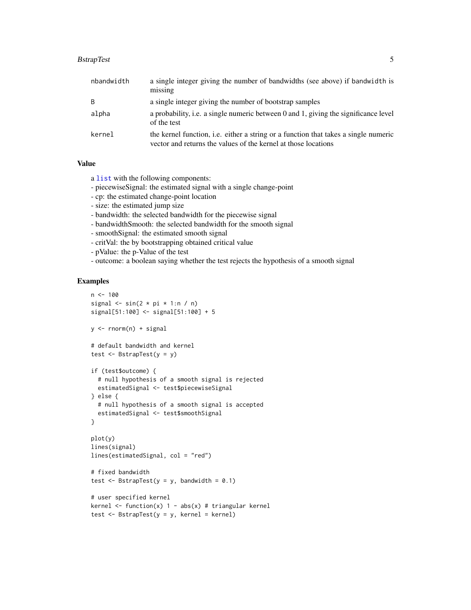<span id="page-4-0"></span>

| nbandwidth | a single integer giving the number of bandwidths (see above) if bandwidth is<br>missing                                                               |
|------------|-------------------------------------------------------------------------------------------------------------------------------------------------------|
| B          | a single integer giving the number of bootstrap samples                                                                                               |
| alpha      | a probability, i.e. a single numeric between 0 and 1, giving the significance level<br>of the test                                                    |
| kernel     | the kernel function, i.e. either a string or a function that takes a single numeric<br>vector and returns the values of the kernel at those locations |

#### Value

a [list](#page-0-0) with the following components:

- piecewiseSignal: the estimated signal with a single change-point
- cp: the estimated change-point location
- size: the estimated jump size
- bandwidth: the selected bandwidth for the piecewise signal
- bandwidthSmooth: the selected bandwidth for the smooth signal
- smoothSignal: the estimated smooth signal
- critVal: the by bootstrapping obtained critical value
- pValue: the p-Value of the test
- outcome: a boolean saying whether the test rejects the hypothesis of a smooth signal

#### Examples

```
n < -100signal \le sin(2 \star pi \star 1:n / n)
signal[51:100] <- signal[51:100] + 5
y \le - rnorm(n) + signal
# default bandwidth and kernel
test <- BstrapTest(y = y)
if (test$outcome) {
  # null hypothesis of a smooth signal is rejected
  estimatedSignal <- test$piecewiseSignal
} else {
  # null hypothesis of a smooth signal is accepted
  estimatedSignal <- test$smoothSignal
}
plot(y)
lines(signal)
lines(estimatedSignal, col = "red")
# fixed bandwidth
test \leq BstrapTest(y = y, bandwidth = 0.1)
# user specified kernel
kernel \le function(x) 1 - abs(x) # triangular kernel
test \leq BstrapTest(y = y, kernel = kernel)
```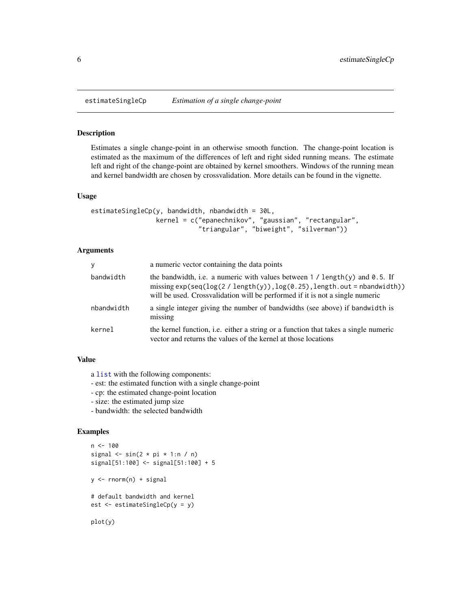<span id="page-5-1"></span><span id="page-5-0"></span>

#### Description

Estimates a single change-point in an otherwise smooth function. The change-point location is estimated as the maximum of the differences of left and right sided running means. The estimate left and right of the change-point are obtained by kernel smoothers. Windows of the running mean and kernel bandwidth are chosen by crossvalidation. More details can be found in the vignette.

#### Usage

```
estimateSingleCp(y, bandwidth, nbandwidth = 30L,
                 kernel = c("epanechnikov", "gaussian", "rectangular",
                            "triangular", "biweight", "silverman"))
```
#### Arguments

| y          | a numeric vector containing the data points                                                                                                                                                                                                  |
|------------|----------------------------------------------------------------------------------------------------------------------------------------------------------------------------------------------------------------------------------------------|
| bandwidth  | the bandwidth, i.e. a numeric with values between $1 /$ length(y) and 0.5. If<br>$missing exp(seq(log(2 / length(y)), log(0.25), length.out = nbandwidth))$<br>will be used. Crossvalidation will be performed if it is not a single numeric |
| nbandwidth | a single integer giving the number of bandwidths (see above) if bandwidth is<br>missing                                                                                                                                                      |
| kernel     | the kernel function, i.e. either a string or a function that takes a single numeric<br>vector and returns the values of the kernel at those locations                                                                                        |

#### Value

- a [list](#page-0-0) with the following components:
- est: the estimated function with a single change-point
- cp: the estimated change-point location
- size: the estimated jump size
- bandwidth: the selected bandwidth

#### Examples

```
n < - 100signal \le sin(2 \star pi \star 1:n / n)
signal[51:100] <- signal[51:100] + 5
y \leftarrow \text{norm}(n) + \text{signal}# default bandwidth and kernel
est <- estimateSingleCp(y = y)
plot(y)
```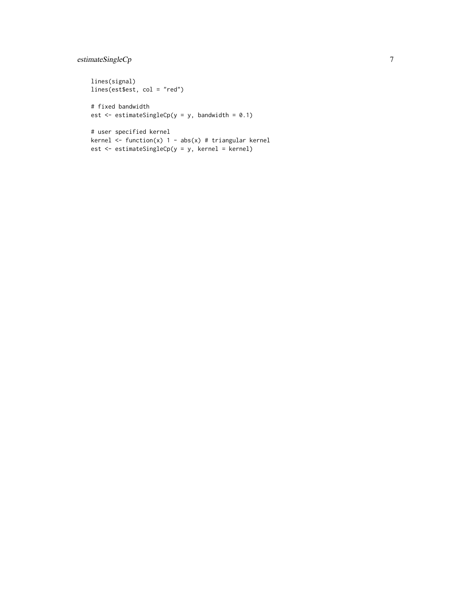#### estimateSingleCp 7

```
lines(signal)
lines(est$est, col = "red")
# fixed bandwidth
est \le estimateSingleCp(y = y, bandwidth = 0.1)
# user specified kernel
kernel <- function(x) 1 - abs(x) # triangular kernel
est <- estimateSingleCp(y = y, kernel = kernel)
```